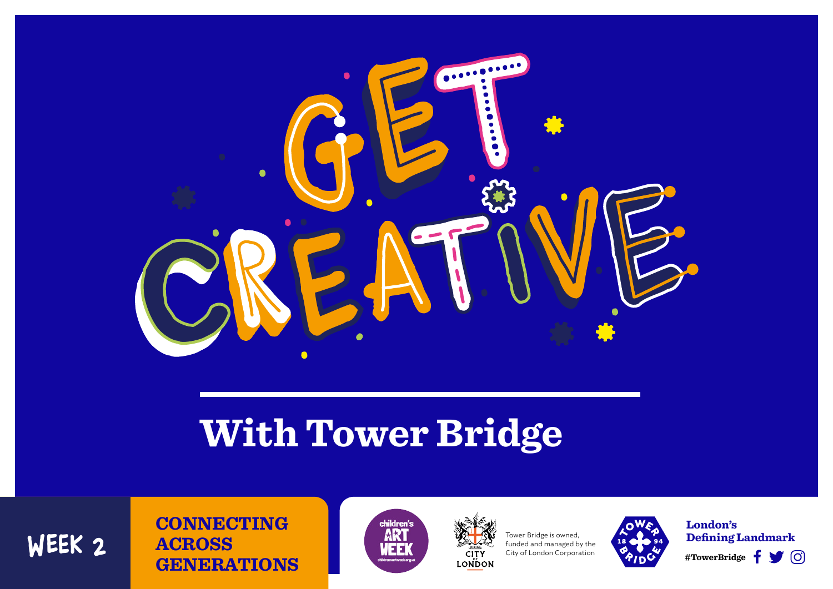

# **With Tower Bridge**

#### **CONNECTING ACROSS GENERATIONS** WEEK 2 **ACROSS** WEEK WEEK CONSIDERS Tower Bridge is owned.





funded and managed by the City of London Corporation



Tower Bridge is owned, **18 Company, Defining Landmark London's**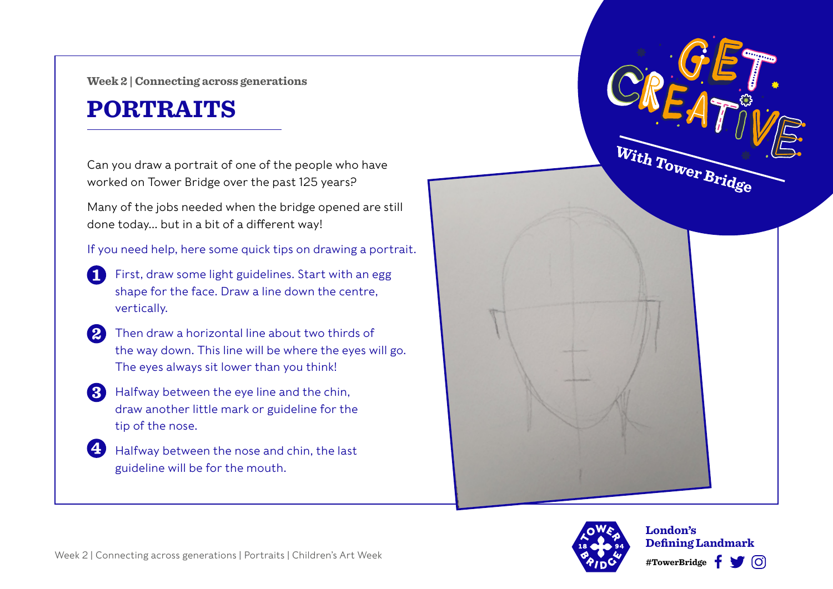**Week 2 | Connecting across generations**

# **PORTRAITS**

Can you draw a portrait of one of the people who have worked on Tower Bridge over the past 125 years?

Many of the jobs needed when the bridge opened are still done today… but in a bit of a different way!

If you need help, here some quick tips on drawing a portrait.

- First, draw some light guidelines. Start with an egg 61 shape for the face. Draw a line down the centre, vertically.
- Then draw a horizontal line about two thirds of  $\boldsymbol{\Omega}$ the way down. This line will be where the eyes will go. The eyes always sit lower than you think!
- **B** Halfway between the eye line and the chin, draw another little mark or guideline for the tip of the nose.

45 Halfway between the nose and chin, the last guideline will be for the mouth.





**London's Defining Landmark #TowerBridge** ြို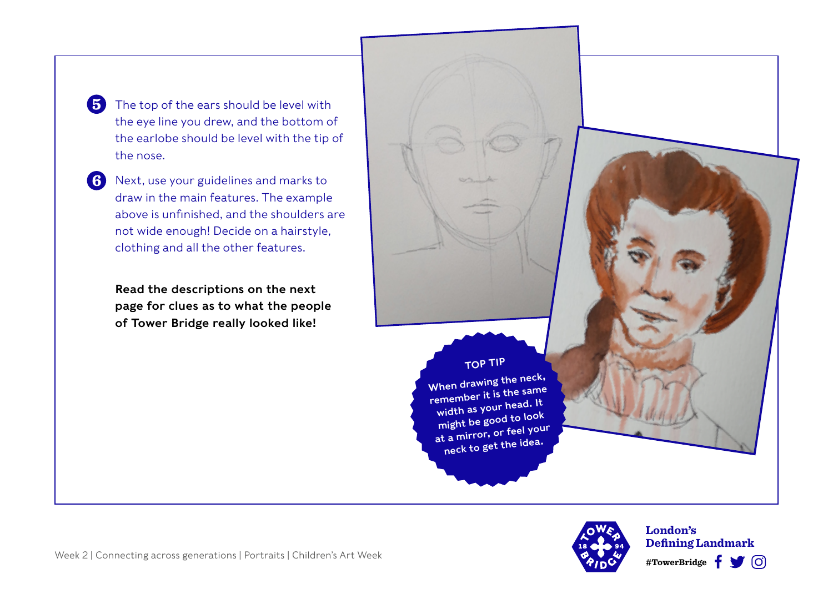6 The top of the ears should be level with the eye line you drew, and the bottom of the earlobe should be level with the tip of the nose.

6 Next, use your guidelines and marks to draw in the main features. The example above is unfinished, and the shoulders are not wide enough! Decide on a hairstyle, clothing and all the other features.

> Read the descriptions on the next page for clues as to what the people of Tower Bridge really looked like!

TOP TIP When drawing the neck, remember it is the same width as your head. It might be good to loo<sup>k</sup> at a mirror, or feel your neck to get the idea.



#TowerBridge **f T**  $\bigcirc$ **London's Defining Landmark**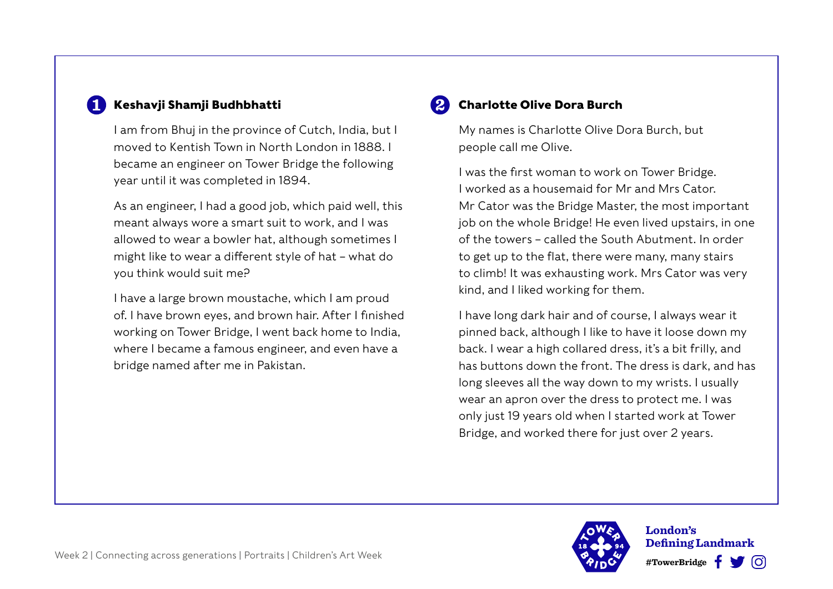#### **Keshavji Shamji Budhbhatti**

I am from Bhuj in the province of Cutch, India, but I moved to Kentish Town in North London in 1888. I became an engineer on Tower Bridge the following year until it was completed in 1894.

As an engineer, I had a good job, which paid well, this meant always wore a smart suit to work, and I was allowed to wear a bowler hat, although sometimes I might like to wear a different style of hat – what do you think would suit me?

I have a large brown moustache, which I am proud of. I have brown eyes, and brown hair. After I finished working on Tower Bridge, I went back home to India, where I became a famous engineer, and even have a bridge named after me in Pakistan.

#### **Charlotte Olive Dora Burch**

My names is Charlotte Olive Dora Burch, but people call me Olive.

I was the first woman to work on Tower Bridge. I worked as a housemaid for Mr and Mrs Cator. Mr Cator was the Bridge Master, the most important job on the whole Bridge! He even lived upstairs, in one of the towers – called the South Abutment. In order to get up to the flat, there were many, many stairs to climb! It was exhausting work. Mrs Cator was very kind, and I liked working for them.

I have long dark hair and of course, I always wear it pinned back, although I like to have it loose down my back. I wear a high collared dress, it's a bit frilly, and has buttons down the front. The dress is dark, and has long sleeves all the way down to my wrists. I usually wear an apron over the dress to protect me. I was only just 19 years old when I started work at Tower Bridge, and worked there for just over 2 years.



 **#TowerBridge London's Defining Landmark**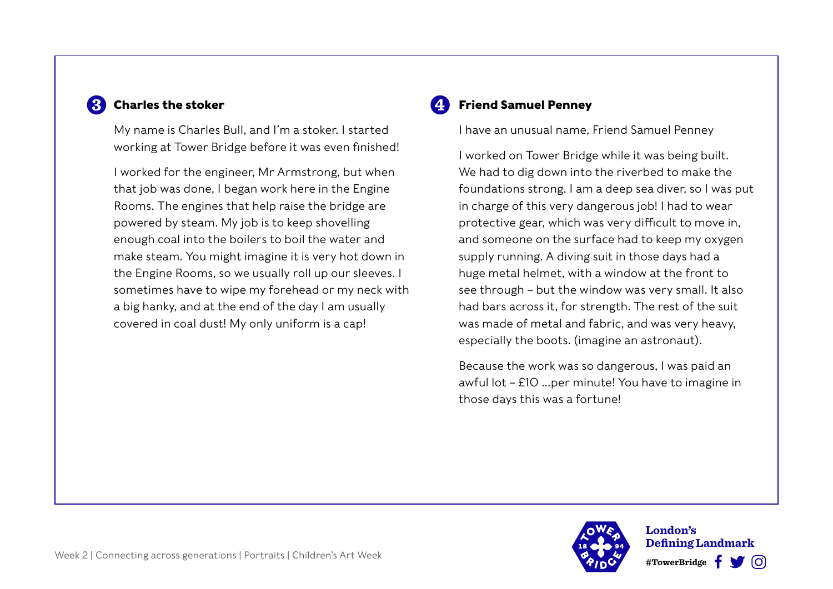### **Charles the stoker**

My name is Charles Bull, and I'm a stoker. I started working at Tower Bridge before it was even finished!

I worked for the engineer, Mr Armstrong, but when that job was done, I began work here in the Engine Rooms. The engines that help raise the bridge are powered by steam. My job is to keep shovelling enough coal into the boilers to boil the water and make steam. You might imagine it is very hot down in the Engine Rooms, so we usually roll up our sleeves. I sometimes have to wipe my forehead or my neck with a big hanky, and at the end of the day I am usually covered in coal dust! My only uniform is a cap!

#### **Friend Samuel Penney**

I have an unusual name, Friend Samuel Penney

I worked on Tower Bridge while it was being built. We had to dig down into the riverbed to make the foundations strong. I am a deep sea diver, so I was put in charge of this very dangerous job! I had to wear protective gear, which was very difficult to move in, and someone on the surface had to keep my oxygen supply running. A diving suit in those days had a huge metal helmet, with a window at the front to see through – but the window was very small. It also had bars across it, for strength. The rest of the suit was made of metal and fabric, and was very heavy, especially the boots. (imagine an astronaut).

Because the work was so dangerous, I was paid an awful lot – £10 …per minute! You have to imagine in those days this was a fortune!